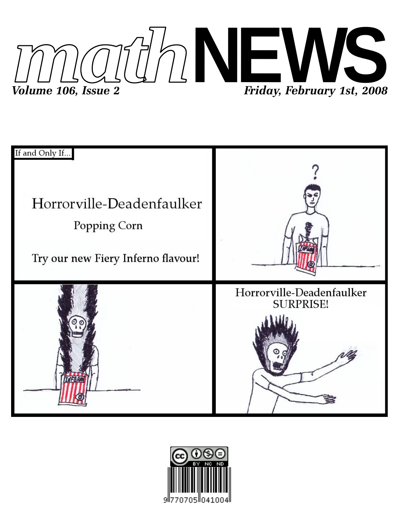



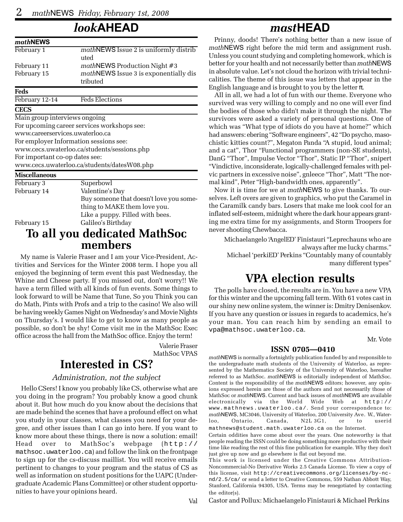# *look***AHEAD**

| mathNEWS                        |                                                   |  |  |  |  |  |  |  |
|---------------------------------|---------------------------------------------------|--|--|--|--|--|--|--|
| February 1                      | mathNEWS Issue 2 is uniformly distrib<br>uted     |  |  |  |  |  |  |  |
| February 11                     | mathNEWS Production Night #3                      |  |  |  |  |  |  |  |
| February 15                     | mathNEWS Issue 3 is exponentially dis<br>tributed |  |  |  |  |  |  |  |
| Feds                            |                                                   |  |  |  |  |  |  |  |
| February 12-14                  | <b>Feds Elections</b>                             |  |  |  |  |  |  |  |
| <b>CECS</b>                     |                                                   |  |  |  |  |  |  |  |
| Main group interviews ongoing   |                                                   |  |  |  |  |  |  |  |
|                                 | For upcoming career services workshops see:       |  |  |  |  |  |  |  |
| www.careerservices.uwaterloo.ca |                                                   |  |  |  |  |  |  |  |
|                                 | For employer Information sessions see:            |  |  |  |  |  |  |  |
|                                 | www.cecs.uwaterloo.ca/students/sessions.php       |  |  |  |  |  |  |  |
| For important co-op dates see:  |                                                   |  |  |  |  |  |  |  |
|                                 | www.cecs.uwaterloo.ca/students/datesW08.php       |  |  |  |  |  |  |  |
| <b>Miscellaneous</b>            |                                                   |  |  |  |  |  |  |  |
| February 3                      | Superbowl                                         |  |  |  |  |  |  |  |
| February 14                     | Valentine's Day                                   |  |  |  |  |  |  |  |
|                                 | Buy someone that doesn't love you some-           |  |  |  |  |  |  |  |
|                                 | thing to MAKE them love you.                      |  |  |  |  |  |  |  |

February 15 Galileo's Birthday

# **To all you dedicated MathSoc members**

Like a puppy. Filled with bees.

My name is Valerie Fraser and I am your Vice-President, Activities and Services for the Winter 2008 term. I hope you all enjoyed the beginning of term event this past Wednesday, the Whine and Cheese party. If you missed out, don't worry!! We have a term filled with all kinds of fun events. Some things to look forward to will be Name that Tune, So you Think you can do Math, Pints with Profs and a trip to the casino! We also will be having weekly Games Night on Wednesday's and Movie Nights on Thursday's. I would like to get to know as many people as possible, so don't be shy! Come visit me in the MathSoc Exec office across the hall from the MathSoc office. Enjoy the term!

> Valerie Fraser MathSoc VPAS

# **Interested in CS?**

#### *Administration, not the subject*

Hello CSers! I know you probably like CS, otherwise what are you doing in the program? You probably know a good chunk about it. But how much do you know about the decisions that are made behind the scenes that have a profound effect on what you study in your classes, what classes you need for your degree, and other issues than I can go into here. If you want to know more about these things, there is now a solution: email! Head over to MathSoc's webpage (http:// mathsoc.uwaterloo.ca) and follow the link on the frontpage to sign up for the cs-discuss maillist. You will receive emails pertinent to changes to your program and the status of CS as well as information on student positions for the UAPC (Undergraduate Academic Plans Committee) or other student opportunities to have your opinions heard.

## *mast***HEAD**

Prinny, doods! There's nothing better than a new issue of *math*NEWS right before the mid term and assignment rush. Unless you count studying and completing homework, which is better for your health and not necessarily better than *math*NEWS in absolute value. Let's not cloud the horizon with trivial technicalities. The theme of this issue was letters that appear in the English language and is brought to you by the letter  $\pi$ .

All in all, we had a lot of fun with our theme. Everyone who survived was very willing to comply and no one will ever find the bodies of those who didn't make it through the night. The survivors were asked a variety of personal questions. One of which was "What type of idiots do you have at home?" which had answers: ebering "Software engineers", 42 "Do psycho, masochistic kitties count?", Megaton Panda "A stupid, loud animal; and a cat", Thor "Functional programmers (non-SE students), DanG "Thor", Impulse Vector "Thor", Static IP "Thor", snipert "Vindictive, inconsiderate, logically-challenged females with pelvic partners in excessive noise", gnleece "Thor", Matt "The normal kind", Peter "High-bandwidth ones, apparently".

Now it is time for we at *math*NEWS to give thanks. To ourselves. Left overs are given to graphics, who put the Caramel in the Caramilk candy bars. Losers that make me look cool for an inflated self-esteem, midnight where the dark hour appears granting me extra time for my assignments, and Storm Troopers for never shooting Chewbacca.

Michaelangelo 'AngelED' Finistauri "Leprechauns who are always after me lucky charms." Michael 'perkiED' Perkins "Countably many of countably many different types"

# **VPA election results**

The polls have closed, the results are in. You have a new VPA for this winter and the upcoming fall term. With 61 votes cast in our shiny new online system, the winner is: Dmitry Denisenkov. If you have any question or issues in regards to academics, he's your man. You can reach him by sending an email to vpa@mathsoc.uwaterloo.ca.

Mr. Vote

#### **ISSN 0705—0410**

*math*NEWS is normally a fortnightly publication funded by and responsible to the undergraduate math students of the University of Waterloo, as represented by the Mathematics Society of the University of Waterloo, hereafter referred to as MathSoc. *math*NEWS is editorially independent of MathSoc. Content is the responsibility of the *math*NEWS editors; however, any opinions expressed herein are those of the authors and not necessarily those of MathSoc or *math*NEWS. Current and back issues of *math*NEWS are available electronically via the World Wide Web at http:// www.mathnews.uwaterloo.ca/. Send your correspondence to: *math*NEWS, MC3046, University of Waterloo, 200 University Ave. W., Waterloo, Ontario, Canada, N2L 3G1, or to userid mathnews@student.math.uwaterloo.ca on the Internet.

Certain oddities have come about over the years. One noteworthy is that people reading the ISSN could be doing something more productive with their time like reading the rest of this fine publication for example. Why they don't just give up now and go elsewhere is flat out beyond me.

This work is licensed under the Creative Commons Attribution-Noncommercial-No Derivative Works 2.5 Canada License. To view a copy of this license, visit http://creativecommons.org/licenses/by-ncnd/2.5/ca/ or send a letter to Creative Commons, 559 Nathan Abbott Way, Stanford, California 94305, USA. Terms may be renegotiated by contacting the editor(s).

Castor and Pollux: Michaelangelo Finistauri & Michael Perkins

Val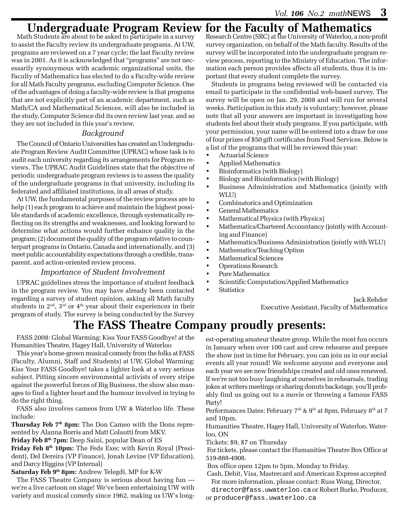# **Undergraduate Program Review for the Faculty of Mathematics** Math Students are about to be asked to participate in a survey Research Centre (SRC) at the University of Waterloo, a non-

to assist the Faculty review its undergraduate programs. At UW, programs are reviewed on a 7 year cycle; the last Faculty review was in 2001. As it is acknowledged that "programs" are not necessarily synonymous with academic organizational units, the Faculty of Mathematics has elected to do a Faculty-wide review for all Math Faculty programs, excluding Computer Science. One of the advantages of doing a faculty-wide review is that programs that are not explicitly part of an academic department, such as Math/CA and Mathematical Sciences, will also be included in the study. Computer Science did its own review last year, and so they are not included in this year's review.

#### *Background*

The Council of Ontario Universities has created an Undergraduate Program Review Audit Committee (UPRAC) whose task is to audit each university regarding its arrangements for Program reviews. The UPRAC Audit Guidelines state that the objective of periodic undergraduate program reviews is to assess the quality of the undergraduate programs in that university, including its federated and affiliated institutions, in all areas of study.

At UW, the fundamental purposes of the review process are to help (1) each program to achieve and maintain the highest possible standards of academic excellence, through systematically reflecting on its strengths and weaknesses, and looking forward to determine what actions would further enhance quality in the program; (2) document the quality of the program relative to counterpart programs in Ontario, Canada and internationally, and (3) meet public accountability expectations through a credible, transparent, and action-oriented review process.

#### *Importance of Student Involvement*

UPRAC guidelines stress the importance of student feedback in the program review. You may have already been contacted regarding a survey of student opinion, asking all Math faculty students in  $2<sup>nd</sup>$ ,  $3<sup>rd</sup>$  or  $4<sup>th</sup>$  year about their experiences in their program of study. The survey is being conducted by the Survey

# **The FASS Theatre Company proudly presents:**

FASS 2008: Global Warming: Kiss Your FASS Goodbye! at the Humanities Theatre, Hagey Hall, University of Waterloo

This year's home-grown musical comedy from the folks at FASS (Faculty, Alumni, Staff and Students) at UW, Global Warming: Kiss Your FASS Goodbye! takes a lighter look at a very serious subject. Pitting sincere environmental activists of every stripe against the powerful forces of Big Business, the show also manages to find a lighter heart and the humour involved in trying to do the right thing.

FASS also involves cameos from UW & Waterloo life. These include:

**Thursday Feb 7th 8pm:** The Don Cameo with the Dons represented by Alanna Borris and Matt Colautti from MKV.

**Friday Feb 8th 7pm:** Deep Saini, popular Dean of ES

**Friday Feb 8th 10pm:** The Feds Exec with Kevin Royal (President), Del Dereira (VP Finance), Jonah Levine (VP Education), and Darcy Higgins (VP Internal)

**Saturday Feb 9th 8pm:** Andrew Telegdi, MP for K-W

The FASS Theatre Company is serious about having fun we're a live cartoon on stage! We've been entertaining UW with variety and musical comedy since 1962, making us UW's longResearch Centre (SRC) at the University of Waterloo, a non-profit survey organization, on behalf of the Math faculty. Results of the survey will be incorporated into the undergraduate program review process, reporting to the Ministry of Education. The information each person provides affects all students, thus it is important that every student complete the survey.

Students in programs being reviewed will be contacted via email to participate in the confidential web-based survey. The survey will be open on Jan. 29, 2008 and will run for several weeks. Participation in this study is voluntary; however, please note that all your answers are important in investigating how students feel about their study programs. If you participate, with your permission, your name will be entered into a draw for one of four prizes of \$50 gift certificates from Food Services. Below is a list of the programs that will be reviewed this year:

- 
- Actuarial Science<br>• Applied Mathema • Applied Mathematics
- Bioinformatics (with Biology)
- Biology and Bioinformatics (with Biology)
- Business Administration and Mathematics (jointly with WLU)
- Combinatorics and Optimization
- General Mathematics
- Mathematical Physics (with Physics)
- Mathematics/Chartered Accountancy (jointly with Accounting and Finance)
- Mathematics/Business Administration (jointly with WLU)
- Mathematics/Teaching Option
- Mathematical Sciences
- Operations Research
- Pure Mathematics
- Scientific Computation/Applied Mathematics
- Statistics

Jack Rehder Executive Assistant, Faculty of Mathematics

est-operating amateur theatre group. While the most fun occurs in January when over 100 cast and crew rehearse and prepare the show just in time for February, you can join us in our social events all year round! We welcome anyone and everyone and each year we see new friendships created and old ones renewed. If we're not too busy laughing at ourselves in rehearsals, trading jokes at writers meetings or sharing donuts backstage, you'll probably find us going out to a movie or throwing a famous FASS Party!

Performances Dates: February  $7<sup>th</sup>$  &  $9<sup>th</sup>$  at 8pm, February  $8<sup>th</sup>$  at 7 and 10pm.

Humanities Theatre, Hagey Hall, University of Waterloo, Waterloo, ON

Tickets: \$9, \$7 on Thursday

 For tickets, please contact the Humanities Theatre Box Office at 519-888-4908.

Box office open 12pm to 5pm, Monday to Friday.

 Cash, Debit, Visa, Mastercard and American Express accepted For more information, please contact: Russ Wong, Director,

director@fass.uwaterloo.ca or Robert Burke, Producer, or producer@fass.uwaterloo.ca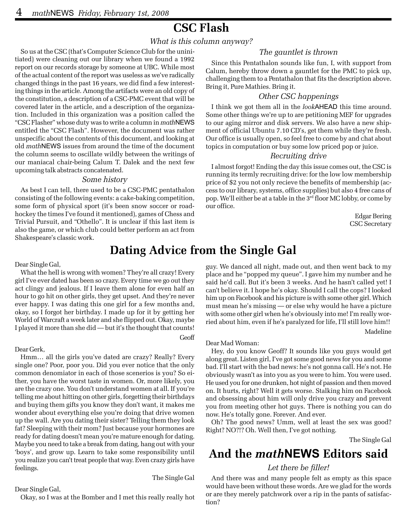# **CSC Flash**

#### *What is this column anyway?*

So us at the CSC (that's Computer Science Club for the uninitiated) were cleaning out our library when we found a 1992 report on our records storage by someone at UBC. While most of the actual content of the report was useless as we've radically changed things in the past 16 years, we did find a few interesting things in the article. Among the artifacts were an old copy of the constitution, a description of a CSC-PMC event that will be covered later in the article, and a description of the organization. Included in this organization was a position called the "CSC Flasher" whose duty was to write a column in *math*NEWS entitled the "CSC Flash". However, the document was rather unspecific about the contents of this document, and looking at old *math*NEWS issues from around the time of the document the column seems to oscillate wildly between the writings of our maniacal chair-being Calum T. Dalek and the next few upcoming talk abstracts concatenated.

#### *Some history*

As best I can tell, there used to be a CSC-PMC pentathalon consisting of the following events: a cake-baking competition, some form of physical sport (it's been snow soccer or roadhockey the times I've found it mentioned), games of Chess and Trivial Pursuit, and "Othello". It is unclear if this last item is also the game, or which club could better perform an act from Shakespeare's classic work.

#### *The gauntlet is thrown*

Since this Pentathalon sounds like fun, I, with support from Calum, hereby throw down a gauntlet for the PMC to pick up, challenging them to a Pentathalon that fits the description above. Bring it, Pure Mathies. Bring it.

#### *Other CSC happenings*

I think we got them all in the *look*AHEAD this time around. Some other things we're up to are petitioning MEF for upgrades to our aging mirror and disk servers. We also have a new shipment of official Ubuntu 7.10 CD's, get them while they're fresh. Our office is usually open, so feel free to come by and chat about topics in computation or buy some low priced pop or juice.

#### *Recruiting drive*

I almost forgot! Ending the day this issue comes out, the CSC is running its termly recruiting drive: for the low low membership price of \$2 you not only recieve the benefits of membership (access to our library, systems, office supplies) but also 4 free cans of pop. We'll either be at a table in the  $3<sup>rd</sup>$  floor MC lobby, or come by our office.

> Edgar Bering CSC Secretary

# **Dating Advice from the Single Gal**

#### Dear Single Gal,

What the hell is wrong with women? They're all crazy! Every girl I've ever dated has been so crazy. Every time we go out they act clingy and jealous. If I leave them alone for even half an hour to go hit on other girls, they get upset. And they're never ever happy. I was dating this one girl for a few months and, okay, so I forgot her birthday. I made up for it by getting her World of Warcraft a week later and she flipped out. Okay, maybe I played it more than she did — but it's the thought that counts! Geoff

#### Dear Gerk,

Hmm… all the girls you've dated are crazy? Really? Every single one? Poor, poor you. Did you ever notice that the only common denomiator in each of those scenerios is you? So either, you have the worst taste in women. Or, more likely, you are the crazy one. You don't understand women at all. If you're telling me about hitting on other girls, forgetting their birthdays and buying them gifts you know they don't want, it makes me wonder about everything else you're doing that drive women up the wall. Are you dating their sister? Telling them they look fat? Sleeping with their mom? Just because your hormones are ready for dating doesn't mean you're mature enough for dating. Maybe you need to take a break from dating, hang out with your 'boys', and grow up. Learn to take some responsibility until you realize you can't treat people that way. Even crazy girls have feelings.

The Single Gal

Dear Single Gal,

Okay, so I was at the Bomber and I met this really really hot

guy. We danced all night, made out, and then went back to my place and he "popped my queue". I gave him my number and he said he'd call. But it's been 3 weeks. And he hasn't called yet! I can't believe it. I hope he's okay. Should I call the cops? I looked him up on Facebook and his picture is with some other girl. Which must mean he's missing — or else why would he have a picture with some other girl when he's obviously into me! I'm really worried about him, even if he's paralyzed for life, I'll still love him!! Madeline

#### Dear Mad Woman:

Hey, do you know Geoff? It sounds like you guys would get along great. Listen girl, I've got some good news for you and some bad. I'll start with the bad news: he's not gonna call. He's not. He obviously wasn't as into you as you were to him. You were used. He used you for one drunken, hot night of passion and then moved on. It hurts, right? Well it gets worse. Stalking him on Facebook and obsessing about him will only drive you crazy and prevent you from meeting other hot guys. There is nothing you can do now. He's totally gone. Forever. And ever.

Oh? The good news? Umm, well at least the sex was good? Right? NO?!? Oh. Well then, I've got nothing.

The Single Gal

# **And the** *math***NEWS Editors said**

#### *Let there be filler!*

And there was and many people felt as empty as this space would have been without these words. Are we glad for the words or are they merely patchwork over a rip in the pants of satisfaction?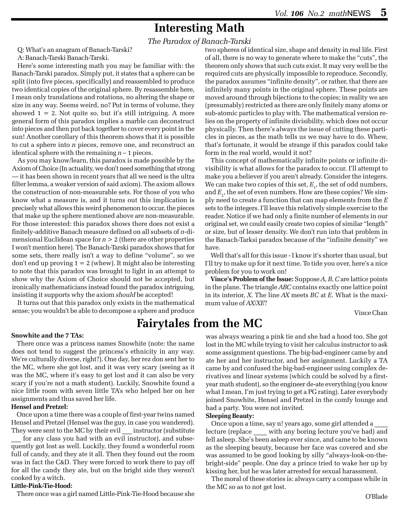# **Interesting Math**

*The Paradox of Banach-Tarski*

Q: What's an anagram of Banach-Tarski?

A: Banach-Tarski Banach-Tarski.

Here's some interesting math you may be familiar with: the Banach-Tarski paradox. Simply put, it states that a sphere can be split (into five pieces, specifically) and reassembled to produce two identical copies of the original sphere. By resassemble here, I mean only translations and rotations, no altering the shape or size in any way. Seems weird, no? Put in terms of volume, they showed  $1 = 2$ . Not quite so, but it's still intriguing. A more general form of this paradox implies a marble can deconstruct into pieces and then put back together to cover every point in the sun! Another corollary of this theorem shows that it is possible to cut a sphere into *n* pieces, remove one, and reconstruct an identical sphere with the remaining *n* – 1 pieces.

As you may know/learn, this paradox is made possible by the Axiom of Choice (In actuality, we don't need something that strong — it has been shown in recent years that all we need is the ultra filter lemma, a weaker version of said axiom). The axiom allows the construction of non-measurable sets. For those of you who know what a measure is, and it turns out this implication is precisely what allows this weird phenomenon to occur, the pieces that make up the sphere mentioned above are non-measurable. For those interested: this paradox shows there does not exist a finitely-additive Banach measure defined on all subsets of *n*-dimensional Euclidean space for *n* > 2 (there are other properties I won't mention here). The Banach-Tarski paradox shows that for some sets, there really isn't a way to define "volume", so we don't end up proving  $1 = 2$  (whew). It might also be interesting to note that this paradox was brought to light in an attempt to show why the Axiom of Choice should not be accepted, but ironically mathematicians instead found the paradox intriguing, insisting it supports why the axiom *should* be accepted!

It turns out that this paradox only exists in the mathematical sense; you wouldn't be able to decompose a sphere and produce

two spheres of identical size, shape and density in real life. First of all, there is no way to generate where to make the "cuts", the theorem only shows that such cuts exist. It may very well be the required cuts are physically impossible to reproduce. Secondly, the paradox assumes "infinite density", or rather, that there are infinitely many points in the original sphere. These points are moved around through bijections to the copies; in reality we are (presumably) restricted as there are only finitely many atoms or sub-atomic particles to play with. The mathematical version relies on the property of infinite divisibility, which does not occur physically. Then there's always the issue of cutting these particles in pieces, as the math tells us we may have to do. Whew, that's fortunate, it would be strange if this paradox could take form in the real world, would it not?

This concept of mathematically infinite points or infinite divisibility is what allows for the paradox to occur. I'll attempt to make you a believer if you aren't already. Consider the integers. We can make two copies of this set,  $E_{1}$ , the set of odd numbers, and  $E_{_2}$ , the set of even numbers. How are these copies? We simply need to create a function that can map elements from the *E* sets to the integers. I'll leave this relatively simple exercise to the reader. Notice if we had only a finite number of elements in our original set, we could easily create two copies of similar "length" or size, but of lesser density. We don't run into that problem in the Banach-Tarksi paradox because of the "infinite density" we have.

Well that's all for this issue - I know it's shorter than usual, but I'll try to make up for it next time. To tide you over, here's a nice problem for you to work on!

**Vince's Problem of the Issue:** Suppose *A*, *B*, *C* are lattice points in the plane. The triangle *ABC* contains exactly one lattice point in its interior, *X*. The line *AX* meets *BC* at *E*. What is the maximum value of *AX*/*XE*?

Vince Chan

# **Fairytales from the MC**

#### **Snowhite and the 7 TAs:**

There once was a princess names Snowhite (note: the name does not tend to suggest the princess's ethnicity in any way. We're culturally diverse, right?). One day, her rez don sent her to the MC, where she got lost, and it was very scary (seeing as it was the MC, where it's easy to get lost and it can also be very scary if you're not a math student). Luckily, Snowhite found a nice little room with seven little TA's who helped her on her assignments and thus saved her life.

#### **Hensel and Pretzel:**

Once upon a time there was a couple of first-year twins named Hensel and Pretzel (Hensel was the guy, in case you wandered). They were sent to the MC by their evil instructor (substitute

for any class you had with an evil instructor), and subsequently got lost as well. Luckily, they found a wonderful room full of candy, and they ate it all. Then they found out the room was in fact the C&D. They were forced to work there to pay off for all the candy they ate, but on the bright side they weren't cooked by a witch.

#### **Little-Pink-Tie-Hood:**

There once was a girl named Little-Pink-Tie-Hood because she

was always wearing a pink tie and she had a hood too. She got lost in the MC while trying to visit her calculus instructor to ask some assignment questions. The big-bad-engineer came by and ate her and her instructor, and her assignment. Luckily a TA came by and confused the big-bad-engineer using complex derivatives and linear systems (which could be solved by a firstyear math student), so the engineer de-ate everything (you know what I mean, I'm just trying to get a PG rating). Later everybody joined Snowhite, Hensel and Pretzel in the comfy lounge and had a party. You were not invited.

#### **Sleeping Beauty:**

Once upon a time, say n! years ago, some girl attended a \_\_\_\_ lecture (replace \_\_\_\_ with any boring lecture you've had) and fell asleep. She's been asleep ever since, and came to be known as the sleeping beauty, because her face was covered and she was assumed to be good looking by silly "always-look-on-thebright-side" people. One day a prince tried to wake her up by kissing her, but he was later arrested for sexual harassment.

The moral of these stories is: always carry a compass while in the MC so as to not get lost.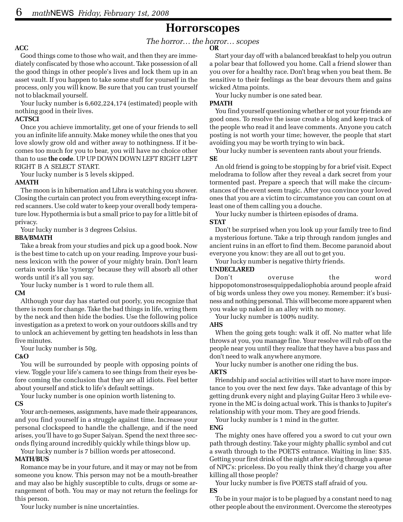### **Horrorscopes**

## *The horror… the horror… scopes* **OR**

#### **ACC**

Good things come to those who wait, and then they are immediately confiscated by those who account. Take possession of all the good things in other people's lives and lock them up in an asset vault. If you happen to take some stuff for yourself in the process, only you will know. Be sure that you can trust yourself not to blackmail yourself.

Your lucky number is 6,602,224,174 (estimated) people with nothing good in their lives.

#### **ACTSCI**

Once you achieve immortality, get one of your friends to sell you an infinite life annuity. Make money while the ones that you love slowly grow old and wither away to nothingness. If it becomes too much for you to bear, you will have no choice other than to use **the code**. UP UP DOWN DOWN LEFT RIGHT LEFT RIGHT B A SELECT START.

Your lucky number is 5 levels skipped.

#### **AMATH**

The moon is in hibernation and Libra is watching you shower. Closing the curtain can protect you from everything except infrared scanners. Use cold water to keep your overall body temperature low. Hypothermia is but a small price to pay for a little bit of privacy.

Your lucky number is 3 degrees Celsius.

#### **BBA/BMATH**

Take a break from your studies and pick up a good book. Now is the best time to catch up on your reading. Improve your business lexicon with the power of your mighty brain. Don't learn certain words like 'synergy' because they will absorb all other words until it's all you say.

Your lucky number is 1 word to rule them all.

#### **CM**

Although your day has started out poorly, you recognize that there is room for change. Take the bad things in life, wring them by the neck and then hide the bodies. Use the following police investigation as a pretext to work on your outdoors skills and try to unlock an achievement by getting ten headshots in less than five minutes.

Your lucky number is 50g.

#### **C&O**

You will be surrounded by people with opposing points of view. Toggle your life's camera to see things from their eyes before coming the conclusion that they are all idiots. Feel better about yourself and stick to life's default settings.

Your lucky number is one opinion worth listening to.

#### **CS**

Your arch-nemeses, assignments, have made their appearances, and you find yourself in a struggle against time. Increase your personal clockspeed to handle the challenge, and if the need arises, you'll have to go Super Saiyan. Spend the next three seconds flying around incredibly quickly while things blow up.

Your lucky number is 7 billion words per attosecond.

#### **MATH/BUS**

Romance may be in your future, and it may or may not be from someone you know. This person may not be a mouth-breather and may also be highly susceptible to cults, drugs or some arrangement of both. You may or may not return the feelings for this person.

Your lucky number is nine uncertainties.

Start your day off with a balanced breakfast to help you outrun a polar bear that followed you home. Call a friend slower than you over for a healthy race. Don't brag when you beat them. Be sensitive to their feelings as the bear devours them and gains wicked Atma points.

Your lucky number is one sated bear.

#### **PMATH**

You find yourself questioning whether or not your friends are good ones. To resolve the issue create a blog and keep track of the people who read it and leave comments. Anyone you catch posting is not worth your time; however, the people that start avoiding you may be worth trying to win back.

Your lucky number is seventeen rants about your friends.

**SE**

An old friend is going to be stopping by for a brief visit. Expect melodrama to follow after they reveal a dark secret from your tormented past. Prepare a speech that will make the circumstances of the event seem tragic. After you convince your loved ones that you are a victim to circumstance you can count on at least one of them calling you a douche.

Your lucky number is thirteen episodes of drama.

#### **STAT**

Don't be surprised when you look up your family tree to find a mysterious fortune. Take a trip through random jungles and ancient ruins in an effort to find them. Become paranoid about everyone you know: they are all out to get you.

Your lucky number is negative thirty friends.

#### **UNDECLARED**

Don't overuse the word hippopotomonstrosesquippedaliophobia around people afraid of big words unless they owe you money. Remember: it's business and nothing personal. This will become more apparent when you wake up naked in an alley with no money.

Your lucky number is 100% nudity.

#### **AHS**

When the going gets tough: walk it off. No matter what life throws at you, you manage fine. Your resolve will rub off on the people near you until they realize that they have a bus pass and don't need to walk anywhere anymore.

Your lucky number is another one riding the bus.

#### **ARTS**

Friendship and social activities will start to have more importance to you over the next few days. Take advantage of this by getting drunk every night and playing Guitar Hero 3 while everyone in the MC is doing actual work. This is thanks to Jupiter's relationship with your mom. They are good friends.

Your lucky number is 1 mind in the gutter.

#### **ENG**

The mighty ones have offered you a sword to cut your own path through destiny. Take your mighty phallic symbol and cut a swath through to the POETS entrance. Waiting in line: \$35. Getting your first drink of the night after slicing through a queue of NPC's: priceless. Do you really think they'd charge you after killing all those people?

Your lucky number is five POETS staff afraid of you. **ES**

To be in your major is to be plagued by a constant need to nag other people about the environment. Overcome the stereotypes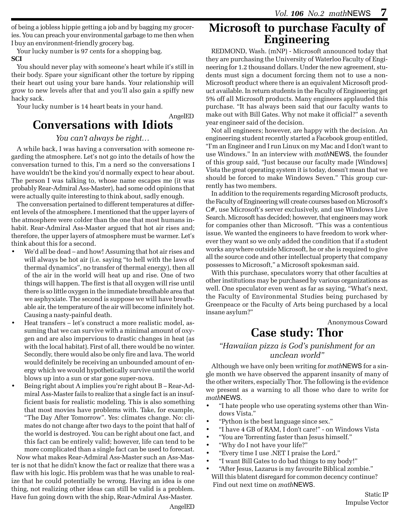of being a jobless hippie getting a job and by bagging my groceries. You can preach your environmental garbage to me then when I buy an environment-friendly grocery bag.

Your lucky number is 97 cents for a shopping bag. **SCI**

You should never play with someone's heart while it's still in their body. Spare your significant other the torture by ripping their heart out using your bare hands. Your relationship will grow to new levels after that and you'll also gain a spiffy new hacky sack.

Your lucky number is 14 heart beats in your hand.

#### AngelED

## **Conversations with Idiots**

#### *You can't always be right…*

A while back, I was having a conversation with someone regarding the atmosphere. Let's not go into the details of how the conversation turned to this, I'm a nerd so the conversations I have wouldn't be the kind you'd normally expect to hear about. The person I was talking to, whose name escapes me (it was probably Rear-Admiral Ass-Master), had some odd opinions that were actually quite interesting to think about, sadly enough.

The conversation pertained to different temperatures at different levels of the atmosphere. I mentioned that the upper layers of the atmosphere were colder than the one that most humans inhabit. Rear-Admiral Ass-Master argued that hot air rises and; therefore, the upper layers of atmosphere must be warmer. Let's think about this for a second.

- We'd all be dead and how! Assuming that hot air rises and will always be hot air (i.e. saying "to hell with the laws of thermal dynamics", no transfer of thermal energy), then all of the air in the world will heat up and rise. One of two things will happen. The first is that all oxygen will rise until there is so little oxygen in the immediate breathable area that we asphyxiate. The second is suppose we will have breathable air, the temperature of the air will become infinitely hot. Causing a nasty-painful death.
- Heat transfers let's construct a more realistic model, assuming that we can survive with a minimal amount of oxygen and are also impervious to drastic changes in heat (as with the local habitat). First of all, there would be no winter. Secondly, there would also be only fire and lava. The world would definitely be receiving an unbounded amount of energy which we would hypothetically survive until the world blows up into a sun or star gone super-nova.
- Being right about A implies you're right about B Rear-Admiral Ass-Master fails to realize that a single fact is an insufficient basis for realistic modeling. This is also something that most movies have problems with. Take, for example, "The Day After Tomorrow". Yes: climates change. No: climates do not change after two days to the point that half of the world is destroyed. You can be right about one fact, and this fact can be entirely valid; however, life can tend to be more complicated than a single fact can be used to forecast.

Now what makes Rear-Admiral Ass-Master such an Ass-Master is not that he didn't know the fact or realize that there was a flaw with his logic. His problem was that he was unable to realize that he could potentially be wrong. Having an idea is one thing, not realizing other ideas can still be valid is a problem. Have fun going down with the ship, Rear-Admiral Ass-Master.

# **Microsoft to purchase Faculty of Engineering**

REDMOND, Wash. (mNP) - Microsoft announced today that they are purchasing the University of Waterloo Faculty of Engineering for 1.2 thousand dollars. Under the new agreement, students must sign a document forcing them not to use a non-Microsoft product where there is an equivalent Microsoft product available. In return students in the Faculty of Engineering get 5% off all Microsoft products. Many engineers applauded this purchase. "It has always been said that our faculty wants to make out with Bill Gates. Why not make it official?" a seventh year engineer said of the decision.

Not all engineers; however, are happy with the decision. An engineering student recently started a Facebook group entitled, "I'm an Engineer and I run Linux on my Mac and I don't want to use Windows." In an interview with *math*NEWS, the founder of this group said, "Just because our faculty made [Windows] Vista the great operating system it is today, doesn't mean that we should be forced to make Windows Seven." This group currently has two members.

In addition to the requirements regarding Microsoft products, the Faculty of Engineering will create courses based on Microsoft's C#, use Microsoft's server exclusively, and use Windows Live Search. Microsoft has decided; however, that engineers may work for companies other than Microsoft. "This was a contentious issue. We wanted the engineers to have freedom to work wherever they want so we only added the condition that if a student works anywhere outside Microsoft, he or she is required to give all the source code and other intellectual property that company possesses to Microsoft," a Microsoft spokesman said.

With this purchase, speculators worry that other faculties at other institutions may be purchased by various organizations as well. One speculator even went as far as saying, "What's next, the Faculty of Environmental Studies being purchased by Greenpeace or the Faculty of Arts being purchased by a local insane asylum?"

Anonymous Coward

# **Case study: Thor**

#### *"Hawaiian pizza is God's punishment for an unclean world"*

Although we have only been writing for *math*NEWS for a single month we have observed the apparent insanity of many of the other writers, especially Thor. The following is the evidence we present as a warning to all those who dare to write for *math*NEWS.

- "I hate people who use operating systems other than Windows Vista."
- "Python is the best language since sex."
- "I have 4 GB of RAM, I don't care!" on Windows Vista
- "You are Torrenting faster than Jesus himself."
- "Why do I not have your life?"
- "Every time I use .NET I praise the Lord."
- "I want Bill Gates to do bad things to my body!"
- "After Jesus, Lazarus is my favourite Biblical zombie." Will this blatent disregard for common decency continue? Find out next time on *math*NEWS.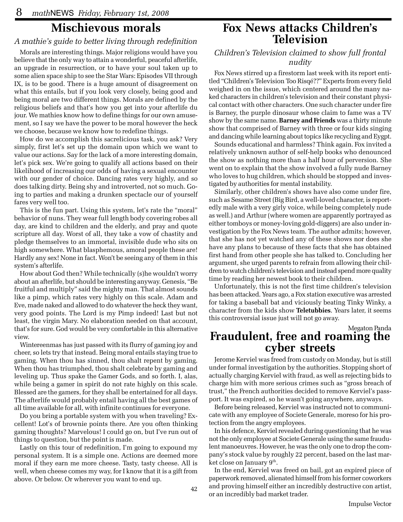# **Mischievous morals**

#### *A mathie's guide to better living through redefinition*

Morals are interesting things. Major religions would have you believe that the only way to attain a wonderful, peaceful afterlife, an upgrade in resurrection, or to have your soul taken up to some alien space ship to see the Star Wars: Episodes VII through IX, is to be good. There is a huge amount of disagreement on what this entails, but if you look very closely, being good and being moral are two different things. Morals are defined by the religious beliefs and that's how you get into your afterlife du jour. We mathies know how to define things for our own amusement, so I say we have the power to be moral however the heck we choose, because we know how to redefine things.

How do we accomplish this sacrelicious task, you ask? Very simply, first let's set up the domain upon which we want to value our actions. Say for the lack of a more interesting domain, let's pick sex. We're going to qualify all actions based on their likelihood of increasing our odds of having a sexual encounter with our gender of choice. Dancing rates very highly, and so does talking dirty. Being shy and introverted, not so much. Going to parties and making a drunken spectacle our of yourself fares very well too.

This is the fun part. Using this system, let's rate the "moral" behavior of nuns. They wear full length body covering robes all day, are kind to children and the elderly, and pray and quote scripture all day. Worst of all, they take a vow of chastity and pledge themselves to an immortal, invisible dude who sits on high somewhere. What blasphemous, amoral people these are! Hardly any sex! None in fact. Won't be seeing any of them in this system's afterlife.

How about God then? While technically (s)he wouldn't worry about an afterlife, but should be interesting anyway. Genesis, "Be fruitful and multiply" said the mighty man. That almost sounds like a pimp, which rates very highly on this scale. Adam and Eve, made naked and allowed to do whatever the heck they want, very good points. The Lord is my Pimp indeed! Last but not least, the virgin Mary. No elaboration needed on that account, that's for sure. God would be very comfortable in this alternative view.

Wintereenmas has just passed with its flurry of gaming joy and cheer, so lets try that instead. Being moral entails staying true to gaming. When thou has sinned, thou shalt repent by gaming. When thou has triumphed, thou shalt celebrate by gaming and leveling up. Thus spake the Gamer Gods, and so forth. I, alas, while being a gamer in spirit do not rate highly on this scale. Blessed are the gamers, for they shall be entertained for all days. The afterlife would probably entail having all the best games of all time available for all, with infinite continues for everyone.

Do you bring a portable system with you when traveling? Excellent! Lot's of brownie points there. Are you often thinking gaming thoughts? Marvelous! I could go on, but I've run out of things to question, but the point is made.

Lastly on this tour of redefinition, I'm going to expound my personal system. It is a simple one. Actions are deemed more moral if they earn me more cheese. Tasty, tasty cheese. All is well, when cheese comes my way, for I know that it is a gift from above. Or below. Or wherever you want to end up.

# **Fox News attacks Children's Television**

#### *Children's Television claimed to show full frontal nudity*

Fox News stirred up a firestorm last week with its report entitled "Children's Television Too Risqé??" Experts from every field weighed in on the issue, which centered around the many naked characters in children's television and their constant physical contact with other characters. One such character under fire is Barney, the purple dinosaur whose claim to fame was a TV show by the same name. **Barney and Friends** was a thirty minute show that comprised of Barney with three or four kids singing and dancing while learning about topics like recycling and Eygpt.

Sounds educational and harmless? Think again. Fox invited a relatively unknown author of self-help books who denounced the show as nothing more than a half hour of perversion. She went on to explain that the show involved a fully nude Barney who loves to hug children, which should be stopped and investigated by authorities for mental instability.

Similarly, other children's shows have also come under fire, such as Sesame Street (Big Bird, a well-loved character, is reportedly male with a very girly voice, while being completely nude as well.) and Arthur (where women are apparently portrayed as either tomboys or money-loving gold-diggers) are also under investigation by the Fox News team. The author admits; however, that she has not yet watched any of these shows nor does she have any plans to because of these facts that she has obtained first hand from other people she has talked to. Concluding her argument, she urged parents to refrain from allowing their children to watch children's television and instead spend more quality time by reading her newest book to their children.

Unfortunately, this is not the first time children's television has been attacked. Years ago, a Fox station executive was arrested for taking a baseball bat and viciously beating Tinky Winky, a character from the kids show **Teletubbies**. Years later, it seems this controversial issue just will not go away.

Megaton Panda

# **Fraudulent, free and roaming the cyber streets**

Jerome Kerviel was freed from custody on Monday, but is still under formal investigation by the authorities. Stopping short of actually charging Kerviel with fraud, as well as rejecting bids to charge him with more serious crimes such as "gross breach of trust," the French authorities decided to remove Kerviel's passport. It was expired, so he wasn't going anywhere, anyways.

Before being released, Kerviel was instructed not to communicate with any employee of Societe Generale, moreso for his protection from the angry employees.

In his defence, Kerviel revealed during questioning that he was not the only employee at Societe Generale using the same fraudulent manoeuvres. However, he was the only one to drop the company's stock value by roughly 22 percent, based on the last market close on January 9<sup>th</sup>.

In the end, Kerviel was freed on bail, got an expired piece of paperwork removed, alienated himself from his former coworkers and proving himself either an incredibly destructive con artist, or an incredibly bad market trader.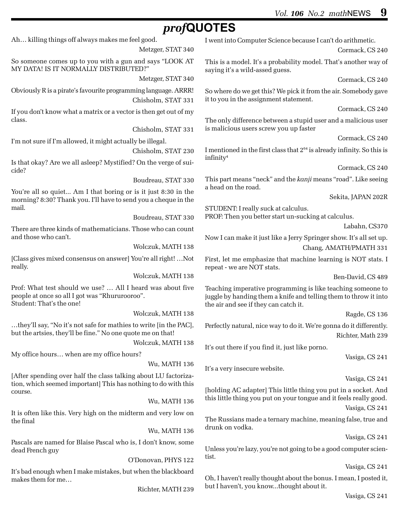Cormack, CS 240

Cormack, CS 240

Cormack, CS 240

Cormack, CS 240

Cormack, CS 240

Sekita, JAPAN 202R

Chang, AMATH/PMATH 331

Labahn, CS370

Ben-David, CS 489

Ragde, CS 136

Vasiga, CS 241

Vasiga, CS 241

Vasiga, CS 241

Vasiga, CS 241

Vasiga, CS 241

Richter, Math 239

# *prof***QUOTES**

Ah… killing things off always makes me feel good.

class.

cide?

mail.

really.

I went into Computer Science because I can't do arithmetic. This is a model. It's a probability model. That's another way of saying it's a wild-assed guess. So where do we get this? We pick it from the air. Somebody gave it to you in the assignment statement. The only difference between a stupid user and a malicious user is malicious users screw you up faster I mentioned in the first class that  $2^{64}$  is already infinity. So this is infinity4 This part means "neck" and the *kanji* means "road". Like seeing a head on the road. STUDENT: I really suck at calculus. PROF: Then you better start un-sucking at calculus. Now I can make it just like a Jerry Springer show. It's all set up. First, let me emphasize that machine learning is NOT stats. I repeat - we are NOT stats. Teaching imperative programming is like teaching someone to juggle by handing them a knife and telling them to throw it into the air and see if they can catch it. Perfectly natural, nice way to do it. We're gonna do it differently. It's out there if you find it, just like porno. It's a very insecure website. [holding AC adapter] This little thing you put in a socket. And this little thing you put on your tongue and it feels really good. The Russians made a ternary machine, meaning false, true and drunk on vodka. Unless you're lazy, you're not going to be a good computer scientist. Oh, I haven't really thought about the bonus. I mean, I posted it, but I haven't, you know...thought about it. Metzger, STAT 340 So someone comes up to you with a gun and says "LOOK AT MY DATA! IS IT NORMALLY DISTRIBUTED?" Metzger, STAT 340 Obviously R is a pirate's favourite programming language. ARRR! Chisholm, STAT 331 If you don't know what a matrix or a vector is then get out of my Chisholm, STAT 331 I'm not sure if I'm allowed, it might actually be illegal. Chisholm, STAT 230 Is that okay? Are we all asleep? Mystified? On the verge of sui-Boudreau, STAT 330 You're all so quiet... Am I that boring or is it just 8:30 in the morning? 8:30? Thank you. I'll have to send you a cheque in the Boudreau, STAT 330 There are three kinds of mathematicians. Those who can count and those who can't. Wolczuk, MATH 138 [Class gives mixed consensus on answer] You're all right! …Not Wolczuk, MATH 138 Prof: What test should we use? … All I heard was about five people at once so all I got was "Rhururooroo". Student: That's the one! Wolczuk, MATH 138 …they'll say, "No it's not safe for mathies to write [in the PAC], but the artsies, they'll be fine." No one quote me on that! Wolczuk, MATH 138 My office hours… when are my office hours? Wu, MATH 136 [After spending over half the class talking about LU factorization, which seemed important] This has nothing to do with this course. Wu, MATH 136 It is often like this. Very high on the midterm and very low on the final Wu, MATH 136 Pascals are named for Blaise Pascal who is, I don't know, some dead French guy O'Donovan, PHYS 122 It's bad enough when I make mistakes, but when the blackboard makes them for me… Richter, MATH 239

Vasiga, CS 241